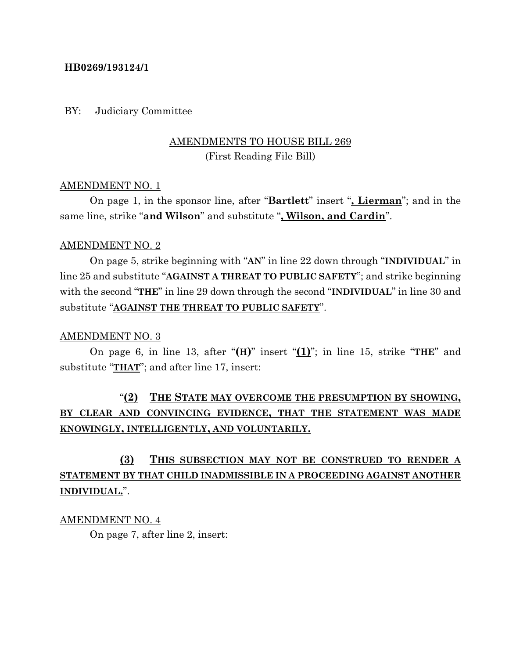### **HB0269/193124/1**

#### BY: Judiciary Committee

## AMENDMENTS TO HOUSE BILL 269 (First Reading File Bill)

### AMENDMENT NO. 1

On page 1, in the sponsor line, after "**Bartlett**" insert "**, Lierman**"; and in the same line, strike "**and Wilson**" and substitute "**, Wilson, and Cardin**".

#### AMENDMENT NO. 2

On page 5, strike beginning with "**AN**" in line 22 down through "**INDIVIDUAL**" in line 25 and substitute "**AGAINST A THREAT TO PUBLIC SAFETY**"; and strike beginning with the second "**THE**" in line 29 down through the second "**INDIVIDUAL**" in line 30 and substitute "**AGAINST THE THREAT TO PUBLIC SAFETY**".

#### AMENDMENT NO. 3

On page 6, in line 13, after "**(H)**" insert "**(1)**"; in line 15, strike "**THE**" and substitute "**THAT**"; and after line 17, insert:

# "**(2) THE STATE MAY OVERCOME THE PRESUMPTION BY SHOWING, BY CLEAR AND CONVINCING EVIDENCE, THAT THE STATEMENT WAS MADE KNOWINGLY, INTELLIGENTLY, AND VOLUNTARILY.**

# **(3) THIS SUBSECTION MAY NOT BE CONSTRUED TO RENDER A STATEMENT BY THAT CHILD INADMISSIBLE IN A PROCEEDING AGAINST ANOTHER INDIVIDUAL.**".

AMENDMENT NO. 4

On page 7, after line 2, insert: